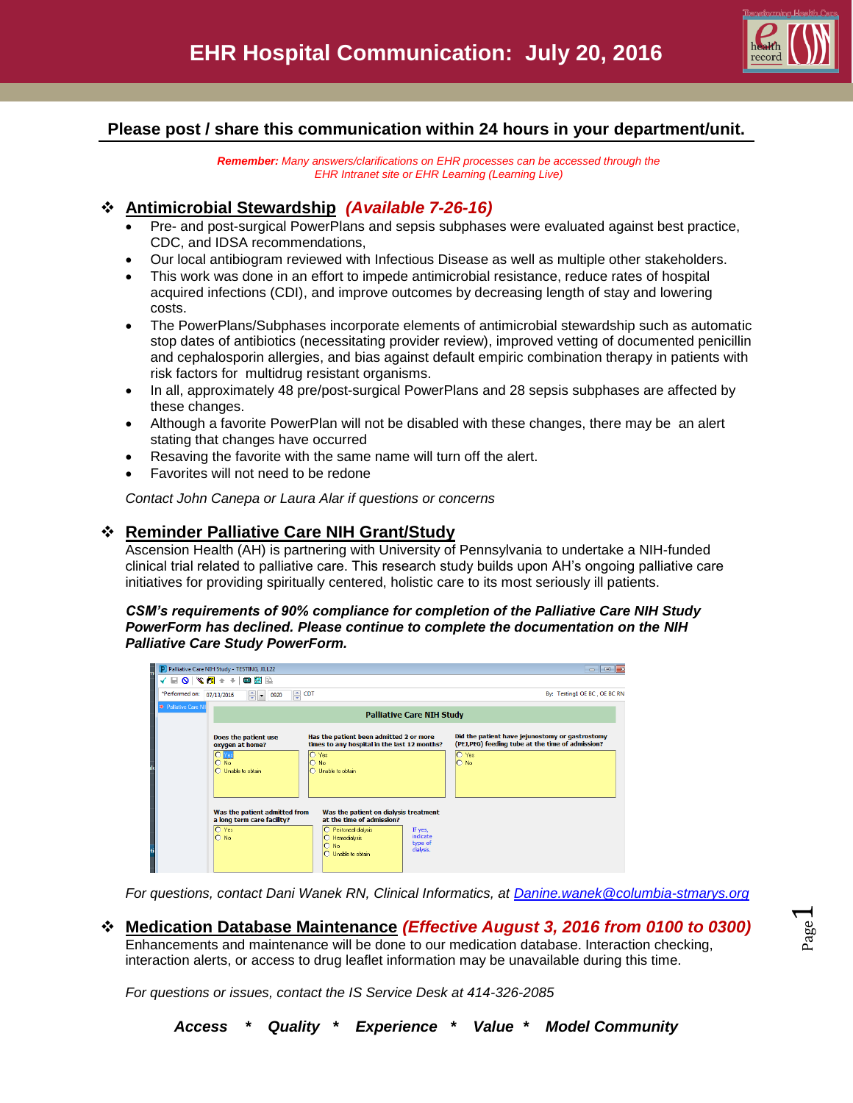

# **Please post / share this communication within 24 hours in your department/unit.**

*Remember: Many answers/clarifications on EHR processes can be accessed through the EHR Intranet site or EHR Learning (Learning Live)*

#### **Antimicrobial Stewardship** *(Available 7-26-16)*

- Pre- and post-surgical PowerPlans and sepsis subphases were evaluated against best practice, CDC, and IDSA recommendations,
- Our local antibiogram reviewed with Infectious Disease as well as multiple other stakeholders.
- This work was done in an effort to impede antimicrobial resistance, reduce rates of hospital acquired infections (CDI), and improve outcomes by decreasing length of stay and lowering costs.
- The PowerPlans/Subphases incorporate elements of antimicrobial stewardship such as automatic stop dates of antibiotics (necessitating provider review), improved vetting of documented penicillin and cephalosporin allergies, and bias against default empiric combination therapy in patients with risk factors for multidrug resistant organisms.
- In all, approximately 48 pre/post-surgical PowerPlans and 28 sepsis subphases are affected by these changes.
- Although a favorite PowerPlan will not be disabled with these changes, there may be an alert stating that changes have occurred
- Resaving the favorite with the same name will turn off the alert.
- Favorites will not need to be redone

*Contact John Canepa or Laura Alar if questions or concerns*

## **Reminder Palliative Care NIH Grant/Study**

Ascension Health (AH) is partnering with University of Pennsylvania to undertake a NIH-funded clinical trial related to palliative care. This research study builds upon AH's ongoing palliative care initiatives for providing spiritually centered, holistic care to its most seriously ill patients.

*CSM's requirements of 90% compliance for completion of the Palliative Care NIH Study PowerForm has declined. Please continue to complete the documentation on the NIH Palliative Care Study PowerForm.*

|   | Palliative Care NIH Study - TESTING, JILL22                                                                                                                                                                                                    |                                                                                                                                                                                                                                   | 10<br>$\equiv$                                                                                      |
|---|------------------------------------------------------------------------------------------------------------------------------------------------------------------------------------------------------------------------------------------------|-----------------------------------------------------------------------------------------------------------------------------------------------------------------------------------------------------------------------------------|-----------------------------------------------------------------------------------------------------|
| ≺ | $\blacksquare \hspace{0.1cm} \blacksquare \hspace{0.1cm} \blacksquare \hspace{0.1cm} \blacksquare \hspace{0.1cm} \blacksquare \hspace{0.1cm} \blacksquare \hspace{0.1cm} \blacksquare \hspace{0.1cm} \blacksquare \hspace{0.1cm} \blacksquare$ |                                                                                                                                                                                                                                   |                                                                                                     |
|   | *Performed on:<br>$\div$ -<br>07/13/2016<br>0920                                                                                                                                                                                               | ़ CDT                                                                                                                                                                                                                             | By: Testing1 OE BC, OE BC RN                                                                        |
|   | <b>*</b> Palliative Care NII                                                                                                                                                                                                                   | <b>Palliative Care NIH Study</b>                                                                                                                                                                                                  |                                                                                                     |
|   | Does the patient use<br>oxygen at home?                                                                                                                                                                                                        | Has the patient been admitted 2 or more<br>times to any hospital in the last 12 months?                                                                                                                                           | Did the patient have jejunostomy or gastrostomy<br>(PEJ,PEG) feeding tube at the time of admission? |
|   | $\circ$<br>Yes<br>$\circ$<br>No<br>$\sqrt{ }$<br>Unable to obtain                                                                                                                                                                              | O Yes<br>$\circ$<br>No.<br>Unable to obtain<br>$\Gamma$                                                                                                                                                                           | O Yes<br>$O$ No                                                                                     |
|   | Was the patient admitted from<br>a long term care facility?<br>O Yes<br>O No                                                                                                                                                                   | Was the patient on dialysis treatment<br>at the time of admission?<br>$\Omega$<br>Peritoneal dialysis<br>If yes,<br>indicate<br>$\circ$<br>Hemodialysis<br>type of<br>$\circ$<br>No.<br>dialysis.<br>$\Omega$<br>Unable to obtain |                                                                                                     |

*For questions, contact Dani Wanek RN, Clinical Informatics, at [Danine.wanek@columbia-stmarys.org](mailto:Danine.wanek@columbia-stmarys.org)*

 **Medication Database Maintenance** *(Effective August 3, 2016 from 0100 to 0300)*  Enhancements and maintenance will be done to our medication database. Interaction checking,

interaction alerts, or access to drug leaflet information may be unavailable during this time.

*For questions or issues, contact the IS Service Desk at 414-326-2085*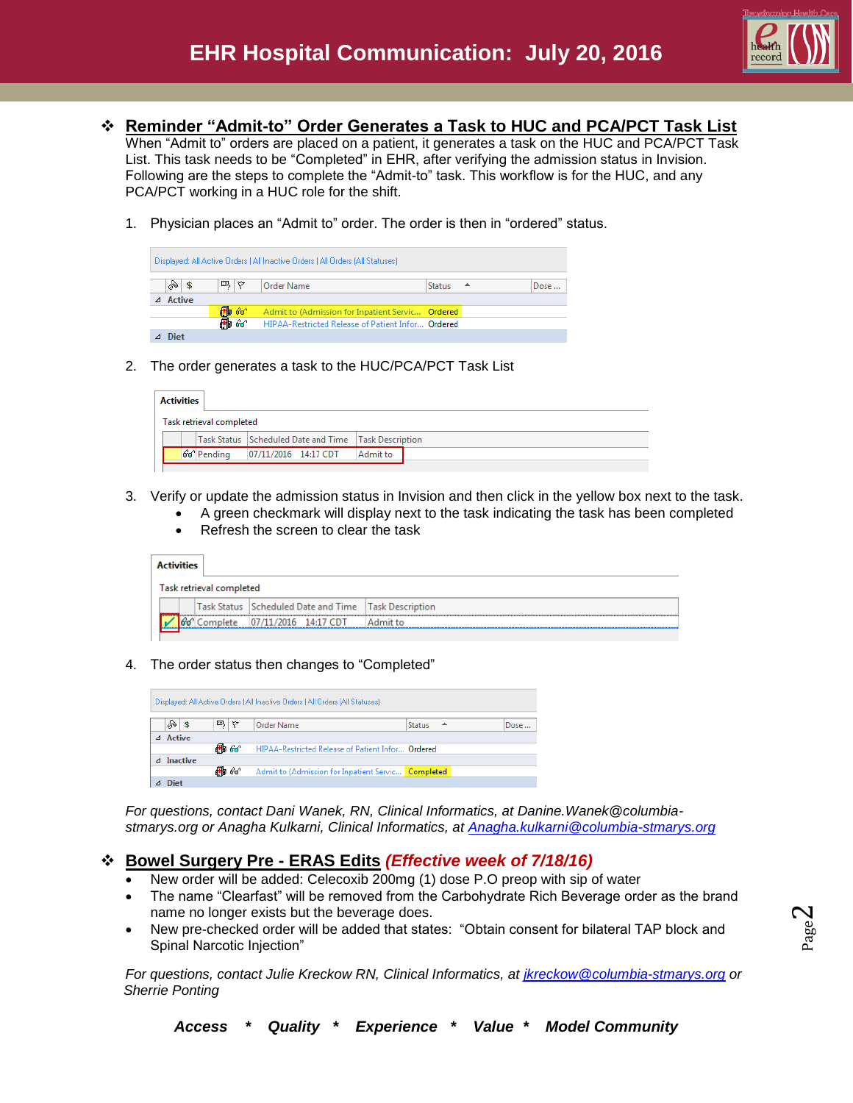

# **Reminder "Admit-to" Order Generates a Task to HUC and PCA/PCT Task List**

When "Admit to" orders are placed on a patient, it generates a task on the HUC and PCA/PCT Task List. This task needs to be "Completed" in EHR, after verifying the admission status in Invision. Following are the steps to complete the "Admit-to" task. This workflow is for the HUC, and any PCA/PCT working in a HUC role for the shift.

1. Physician places an "Admit to" order. The order is then in "ordered" status.

|   | Displayed: All Active Orders   All Inactive Orders   All Orders (All Statuses) |  |    |  |                                                   |        |  |      |  |  |
|---|--------------------------------------------------------------------------------|--|----|--|---------------------------------------------------|--------|--|------|--|--|
|   | $\frac{8}{9}$ \$                                                               |  | 民々 |  | Order Name                                        | Status |  | Dose |  |  |
| Δ | Active                                                                         |  |    |  |                                                   |        |  |      |  |  |
|   |                                                                                |  | 晶的 |  | Admit to (Admission for Inpatient Servic Ordered  |        |  |      |  |  |
|   |                                                                                |  |    |  | HIPAA-Restricted Release of Patient Infor Ordered |        |  |      |  |  |
|   | Diet                                                                           |  |    |  |                                                   |        |  |      |  |  |

2. The order generates a task to the HUC/PCA/PCT Task List

| <b>Activities</b> |                                                      |                      |          |  |
|-------------------|------------------------------------------------------|----------------------|----------|--|
|                   | Task retrieval completed                             |                      |          |  |
|                   | Task Status Scheduled Date and Time Task Description |                      |          |  |
|                   | oo Pendina                                           | 07/11/2016 14:17 CDT | Admit to |  |

- 3. Verify or update the admission status in Invision and then click in the yellow box next to the task.
	- A green checkmark will display next to the task indicating the task has been completed
	- Refresh the screen to clear the task

#### **Activities**

| Task retrieval completed |               |  |                                                          |  |  |  |  |  |  |  |  |
|--------------------------|---------------|--|----------------------------------------------------------|--|--|--|--|--|--|--|--|
|                          | ------------- |  | Task Status   Scheduled Date and Time   Task Description |  |  |  |  |  |  |  |  |
|                          |               |  |                                                          |  |  |  |  |  |  |  |  |
|                          |               |  |                                                          |  |  |  |  |  |  |  |  |

4. The order status then changes to "Completed"



*For questions, contact Dani Wanek, RN, Clinical Informatics, at Danine.Wanek@columbiastmarys.org or Anagha Kulkarni, Clinical Informatics, at [Anagha.kulkarni@columbia-stmarys.org](mailto:Anagha.kulkarni@columbia-stmarys.org)*

#### **Bowel Surgery Pre - ERAS Edits** *(Effective week of 7/18/16)*

- New order will be added: Celecoxib 200mg (1) dose P.O preop with sip of water
- The name "Clearfast" will be removed from the Carbohydrate Rich Beverage order as the brand name no longer exists but the beverage does.
- New pre-checked order will be added that states: "Obtain consent for bilateral TAP block and Spinal Narcotic Injection"

*For questions, contact Julie Kreckow RN, Clinical Informatics, at [jkreckow@columbia-stmarys.org](mailto:jkreckow@columbia-stmarys.org) or Sherrie Ponting*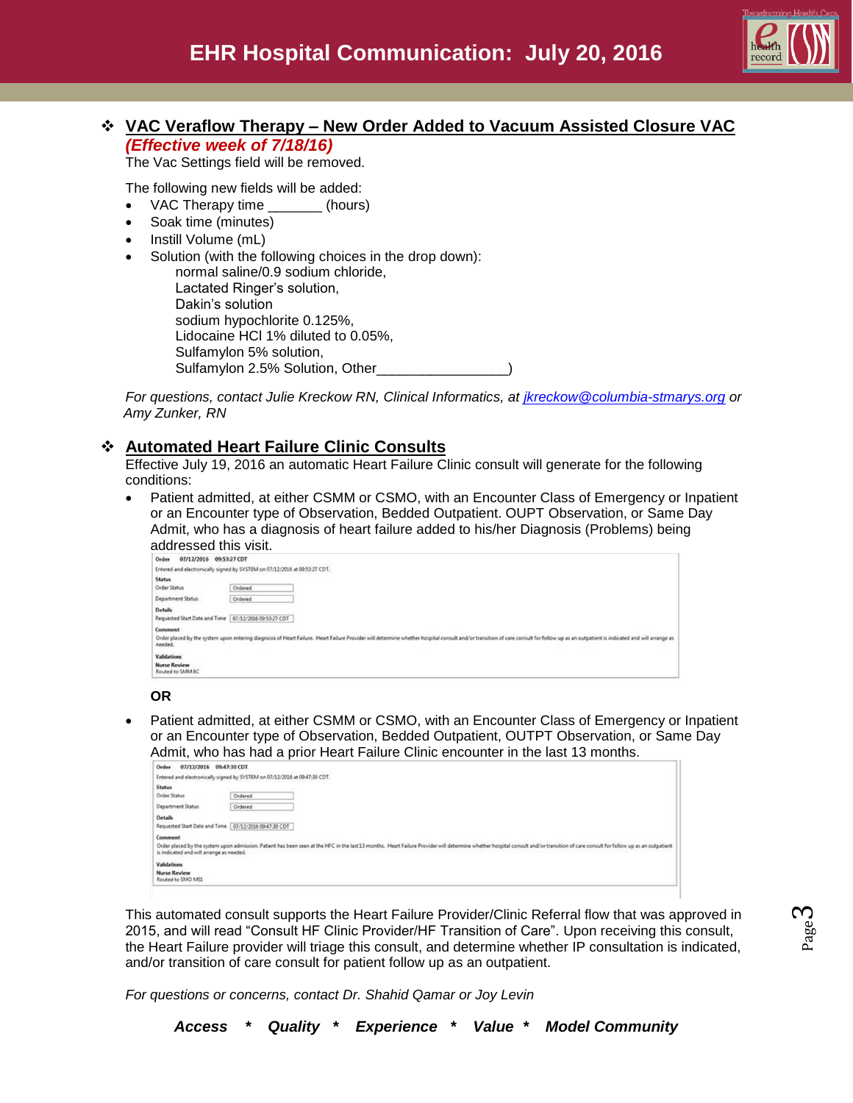

### **VAC Veraflow Therapy – New Order Added to Vacuum Assisted Closure VAC**  *(Effective week of 7/18/16)*

The Vac Settings field will be removed.

The following new fields will be added:

- VAC Therapy time (hours)
- Soak time (minutes)
- Instill Volume (mL)
- Solution (with the following choices in the drop down):

| normal saline/0.9 sodium chloride, |
|------------------------------------|
| Lactated Ringer's solution,        |
| Dakin's solution                   |
| sodium hypochlorite 0.125%,        |
| Lidocaine HCI 1% diluted to 0.05%, |
| Sulfamylon 5% solution,            |
| Sulfamylon 2.5% Solution, Other    |
|                                    |

*For questions, contact Julie Kreckow RN, Clinical Informatics, at [jkreckow@columbia-stmarys.org](mailto:jkreckow@columbia-stmarys.org) or Amy Zunker, RN*

#### **Automated Heart Failure Clinic Consults**

Effective July 19, 2016 an automatic Heart Failure Clinic consult will generate for the following conditions:

 Patient admitted, at either CSMM or CSMO, with an Encounter Class of Emergency or Inpatient or an Encounter type of Observation, Bedded Outpatient. OUPT Observation, or Same Day Admit, who has a diagnosis of heart failure added to his/her Diagnosis (Problems) being addressed this visit.

| 07/12/2016 09:53:27 CDT<br>Order                                        |                                                                                                                                                                                                                                |  |
|-------------------------------------------------------------------------|--------------------------------------------------------------------------------------------------------------------------------------------------------------------------------------------------------------------------------|--|
|                                                                         | Entered and electronically signed by SYSTEM on 07/12/2016 at 09:53:27 CDT.                                                                                                                                                     |  |
| <b>Status</b>                                                           |                                                                                                                                                                                                                                |  |
| Order Status                                                            | Ordered                                                                                                                                                                                                                        |  |
| Department Status                                                       | Ordered                                                                                                                                                                                                                        |  |
| <b>Details</b><br>Requested Start Date and Time 07/12/2016 09:53:27 CDT |                                                                                                                                                                                                                                |  |
| Comment<br>needed.                                                      | Order placed by the system upon entering diagnosis of Heart Failure. Heart Failure Provider will determine whether hospital consult and/or transition of care consult for follow up as an outpatient is indicated and will arr |  |
| <b>Validations</b><br><b>Nurse Review</b><br>Routed to SMM 8C           |                                                                                                                                                                                                                                |  |

#### **OR**

 Patient admitted, at either CSMM or CSMO, with an Encounter Class of Emergency or Inpatient or an Encounter type of Observation, Bedded Outpatient, OUTPT Observation, or Same Day Admit, who has had a prior Heart Failure Clinic encounter in the last 13 months.

| 07/12/2016<br>Order                      | 09:47:30 CDT                                                                                                                                                                                                                   |
|------------------------------------------|--------------------------------------------------------------------------------------------------------------------------------------------------------------------------------------------------------------------------------|
|                                          | Entered and electronically signed by SYSTEM on 07/12/2016 at 09:47:30 CDT.                                                                                                                                                     |
| <b>Status</b>                            |                                                                                                                                                                                                                                |
| Order Status                             | Ordered                                                                                                                                                                                                                        |
| <b>Department Status</b>                 | Ordered                                                                                                                                                                                                                        |
| <b>Details</b>                           |                                                                                                                                                                                                                                |
|                                          | Requested Start Date and Time   07/12/2016 09:47:30 CDT                                                                                                                                                                        |
| Comment                                  |                                                                                                                                                                                                                                |
| is indicated and will arrange as needed. | Order placed by the system upon admission. Patient has been seen at the HFC in the last 13 months. Heart Failure Provider will determine whether hospital consult and/or transition of care consult for follow up as an outpat |
| <b>Validations</b>                       |                                                                                                                                                                                                                                |
| <b>Nurse Review</b><br>Routed to SMO MS1 |                                                                                                                                                                                                                                |

This automated consult supports the Heart Failure Provider/Clinic Referral flow that was approved in 2015, and will read "Consult HF Clinic Provider/HF Transition of Care". Upon receiving this consult, the Heart Failure provider will triage this consult, and determine whether IP consultation is indicated, and/or transition of care consult for patient follow up as an outpatient.

*For questions or concerns, contact Dr. Shahid Qamar or Joy Levin*

*Access \* Quality \* Experience \* Value \* Model Community*